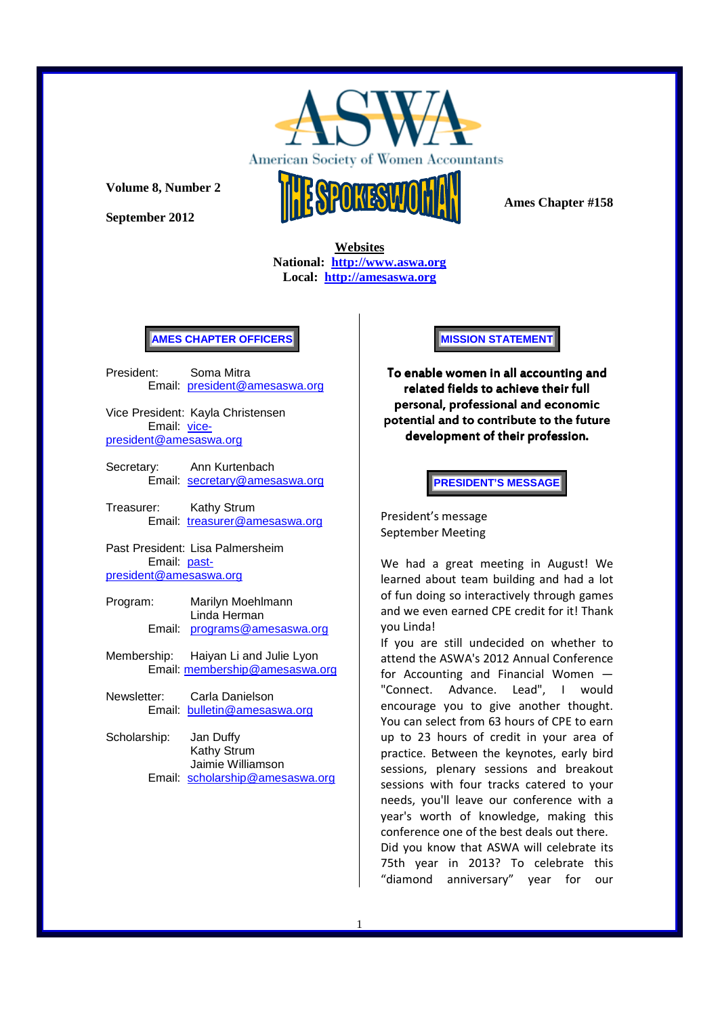

American Society of Women Acco ntants

**Volume 8, Number 2** 

**September 2012** 



 **Ames Chapter #158** 

**Websites National: http://www.aswa.org Local: http://amesaswa.org**

### **AMES CHAPTER OFFICERS**

President: Soma Mitra Email: president@amesaswa.org

Vice President: Kayla Christensen Email: vicepresident@amesaswa.org

- Secretary: Ann Kurtenbach Email: secretary@amesaswa.org
- Treasurer: Kathy Strum Email: treasurer@amesaswa.org

Past President: Lisa Palmersheim Email: pastpresident@amesaswa.org

- Program: Marilyn Moehlmann Linda Herman Email: programs@amesaswa.org
- Membership: Haiyan Li and Julie Lyon Email: membership@amesaswa.org
- Newsletter: Carla Danielson Email: bulletin@amesaswa.org
- Scholarship: Jan Duffy Kathy Strum Jaimie Williamson Email: scholarship@amesaswa.org

**MISSION STATEMENT** 

To enable women in all accounting and related fields to achieve their full personal, professional and economic potential and to contribute to the future development of their profession.

**PRESIDENT'S MESSAGE** 

President's message September Meeting

We had a great meeting in August! We learned about team building and had a lot of fun doing so interactively through games and we even earned CPE credit for it! Thank you Linda!

If you are still undecided on whether to attend the ASWA's 2012 Annual Conference for Accounting and Financial Women — "Connect. Advance. Lead", I would encourage you to give another thought. You can select from 63 hours of CPE to earn up to 23 hours of credit in your area of practice. Between the keynotes, early bird sessions, plenary sessions and breakout sessions with four tracks catered to your needs, you'll leave our conference with a year's worth of knowledge, making this conference one of the best deals out there. Did you know that ASWA will celebrate its 75th year in 2013? To celebrate this "diamond anniversary" year for our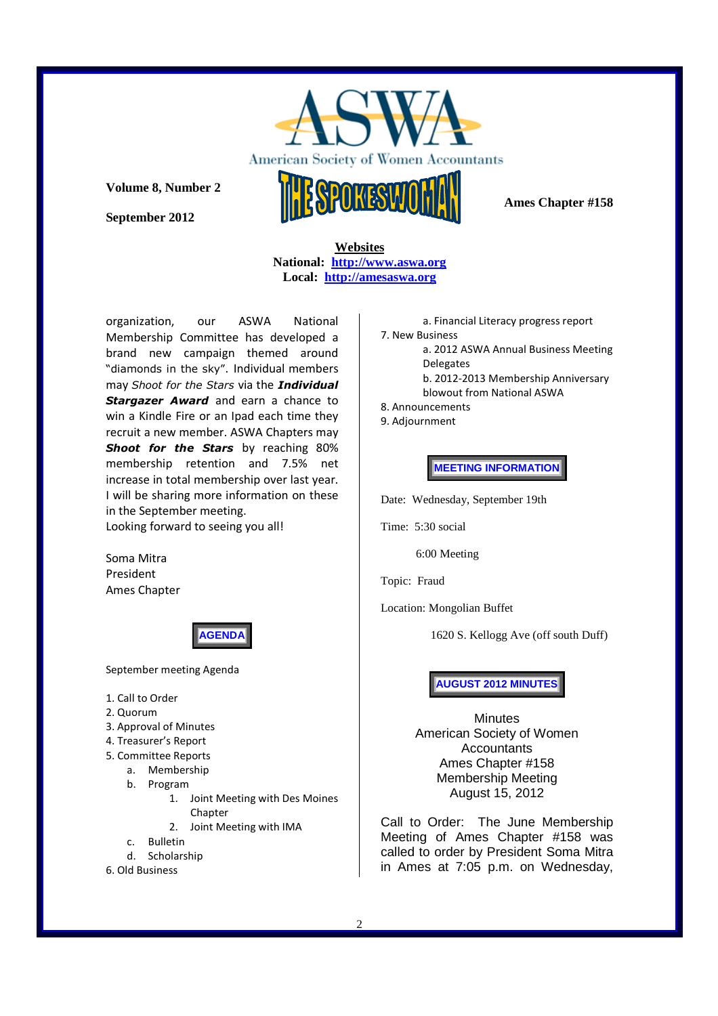

American Society of Women Accou ntants

## **Volume 8, Number 2**

**September 2012** 

 **Ames Chapter #158** 

**Websites National: http://www.aswa.org Local: http://amesaswa.org**

organization, our ASWA National Membership Committee has developed a brand new campaign themed around "diamonds in the sky". Individual members may *Shoot for the Stars* via the *Individual*  **Stargazer Award** and earn a chance to win a Kindle Fire or an Ipad each time they recruit a new member. ASWA Chapters may *Shoot for the Stars* by reaching 80% membership retention and 7.5% net increase in total membership over last year. I will be sharing more information on these in the September meeting. Looking forward to seeing you all!

Soma Mitra President Ames Chapter

**AGENDA** 

September meeting Agenda

- 1. Call to Order
- 2. Quorum
- 3. Approval of Minutes
- 4. Treasurer's Report
- 5. Committee Reports
	- a. Membership
	- b. Program
		- 1. Joint Meeting with Des Moines Chapter
		- 2. Joint Meeting with IMA
	- c. Bulletin
	- d. Scholarship
- 6. Old Business

a. Financial Literacy progress report

- 7. New Business
	- a. 2012 ASWA Annual Business Meeting Delegates b. 2012-2013 Membership Anniversary
	- blowout from National ASWA
- 8. Announcements
- 9. Adjournment

**MEETING INFORMATION** 

Date: Wednesday, September 19th

Time: 5:30 social

6:00 Meeting

Topic: Fraud

Location: Mongolian Buffet

1620 S. Kellogg Ave (off south Duff)

**AUGUST 2012 MINUTES**

Minutes American Society of Women **Accountants** Ames Chapter #158 Membership Meeting August 15, 2012

Call to Order: The June Membership Meeting of Ames Chapter #158 was called to order by President Soma Mitra in Ames at 7:05 p.m. on Wednesday,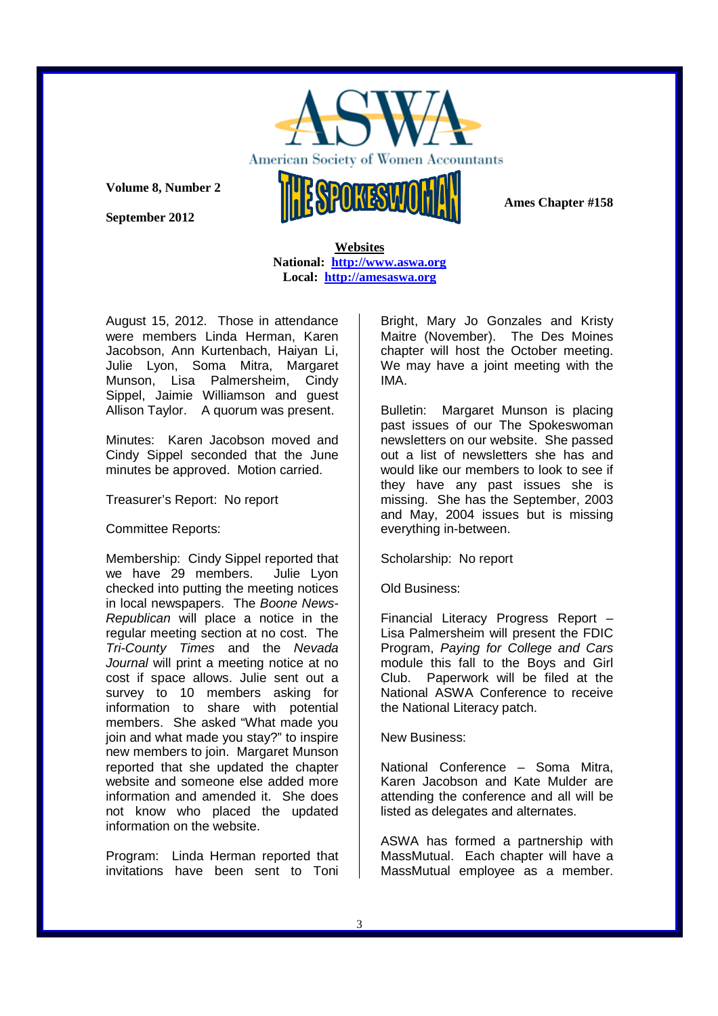

American Society of Women Acco ntants

**Volume 8, Number 2** 

**September 2012** 

 **Ames Chapter #158** 

**Websites National: http://www.aswa.org Local: http://amesaswa.org**

August 15, 2012. Those in attendance were members Linda Herman, Karen Jacobson, Ann Kurtenbach, Haiyan Li, Julie Lyon, Soma Mitra, Margaret Munson, Lisa Palmersheim, Cindy Sippel, Jaimie Williamson and guest Allison Taylor. A quorum was present.

Minutes: Karen Jacobson moved and Cindy Sippel seconded that the June minutes be approved. Motion carried.

Treasurer's Report: No report

Committee Reports:

Membership: Cindy Sippel reported that we have 29 members. Julie Lyon checked into putting the meeting notices in local newspapers. The Boone News-Republican will place a notice in the regular meeting section at no cost. The Tri-County Times and the Nevada Journal will print a meeting notice at no cost if space allows. Julie sent out a survey to 10 members asking for information to share with potential members. She asked "What made you join and what made you stay?" to inspire new members to join. Margaret Munson reported that she updated the chapter website and someone else added more information and amended it. She does not know who placed the updated information on the website.

Program: Linda Herman reported that invitations have been sent to Toni Bright, Mary Jo Gonzales and Kristy Maitre (November). The Des Moines chapter will host the October meeting. We may have a joint meeting with the IMA.

Bulletin: Margaret Munson is placing past issues of our The Spokeswoman newsletters on our website. She passed out a list of newsletters she has and would like our members to look to see if they have any past issues she is missing. She has the September, 2003 and May, 2004 issues but is missing everything in-between.

Scholarship: No report

Old Business:

Financial Literacy Progress Report – Lisa Palmersheim will present the FDIC Program, Paying for College and Cars module this fall to the Boys and Girl Club. Paperwork will be filed at the National ASWA Conference to receive the National Literacy patch.

New Business:

National Conference – Soma Mitra, Karen Jacobson and Kate Mulder are attending the conference and all will be listed as delegates and alternates.

ASWA has formed a partnership with MassMutual. Each chapter will have a MassMutual employee as a member.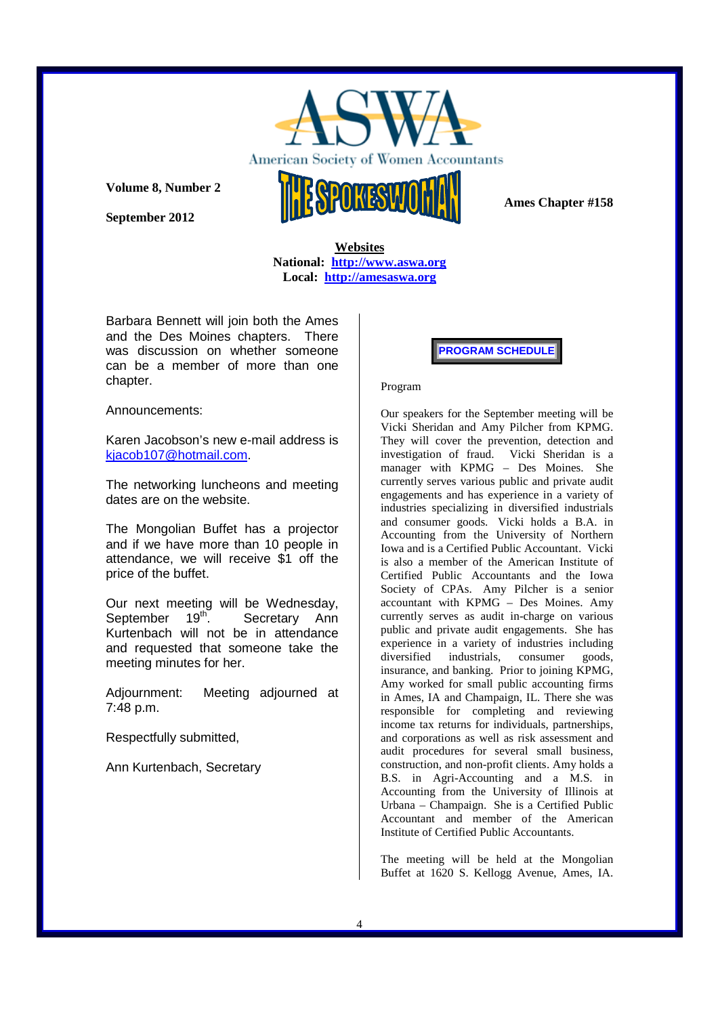

American Society of Women Acco ntants

**Volume 8, Number 2** 

**September 2012** 



 **Ames Chapter #158** 

**Websites National: http://www.aswa.org Local: http://amesaswa.org**

Barbara Bennett will join both the Ames and the Des Moines chapters. There was discussion on whether someone can be a member of more than one chapter.

Announcements:

Karen Jacobson's new e-mail address is kjacob107@hotmail.com.

The networking luncheons and meeting dates are on the website.

The Mongolian Buffet has a projector and if we have more than 10 people in attendance, we will receive \$1 off the price of the buffet.

Our next meeting will be Wednesday, September 19<sup>th</sup>. Secretary Ann Kurtenbach will not be in attendance and requested that someone take the meeting minutes for her.

Adjournment: Meeting adjourned at 7:48 p.m.

Respectfully submitted,

Ann Kurtenbach, Secretary

### **PROGRAM SCHEDULE**

#### Program

Our speakers for the September meeting will be Vicki Sheridan and Amy Pilcher from KPMG. They will cover the prevention, detection and investigation of fraud. Vicki Sheridan is a manager with KPMG – Des Moines. She currently serves various public and private audit engagements and has experience in a variety of industries specializing in diversified industrials and consumer goods. Vicki holds a B.A. in Accounting from the University of Northern Iowa and is a Certified Public Accountant. Vicki is also a member of the American Institute of Certified Public Accountants and the Iowa Society of CPAs. Amy Pilcher is a senior accountant with KPMG – Des Moines. Amy currently serves as audit in-charge on various public and private audit engagements. She has experience in a variety of industries including diversified industrials, consumer goods, insurance, and banking. Prior to joining KPMG, Amy worked for small public accounting firms in Ames, IA and Champaign, IL. There she was responsible for completing and reviewing income tax returns for individuals, partnerships, and corporations as well as risk assessment and audit procedures for several small business, construction, and non-profit clients. Amy holds a B.S. in Agri-Accounting and a M.S. in Accounting from the University of Illinois at Urbana – Champaign. She is a Certified Public Accountant and member of the American Institute of Certified Public Accountants.

The meeting will be held at the Mongolian Buffet at 1620 S. Kellogg Avenue, Ames, IA.